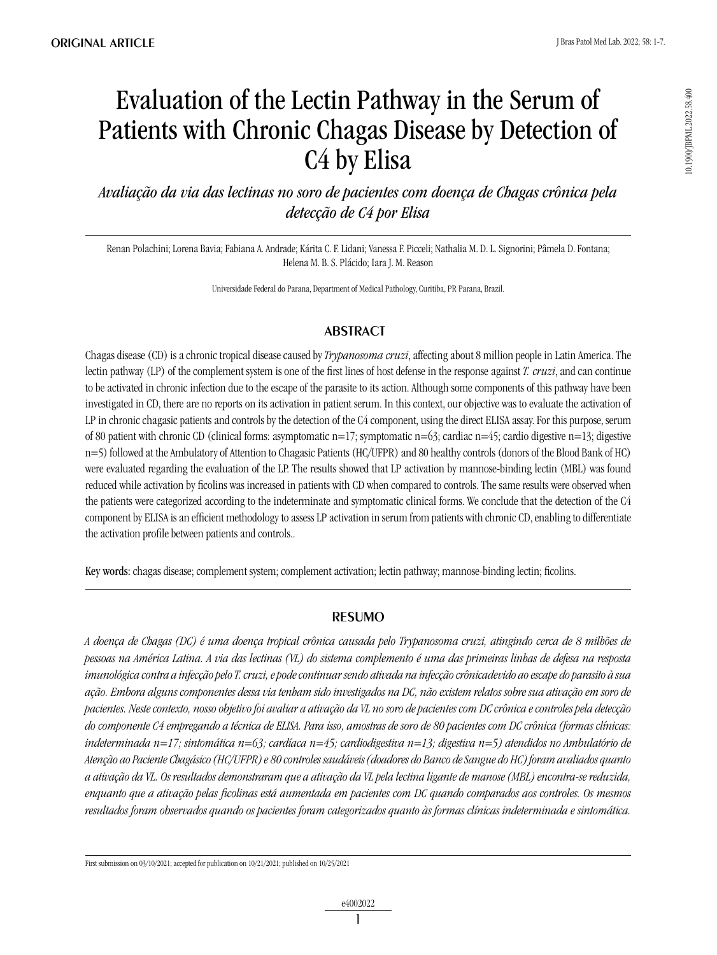# Evaluation of the Lectin Pathway in the Serum of Patients with Chronic Chagas Disease by Detection of C4 by Elisa

*Avaliação da via das lectinas no soro de pacientes com doença de Chagas crônica pela detecção de C4 por Elisa*

Renan Polachini; Lorena Bavia; Fabiana A. Andrade; Kárita C. F. Lidani; Vanessa F. Picceli; Nathalia M. D. L. Signorini; Pâmela D. Fontana; Helena M. B. S. Plácido; Iara J. M. Reason

Universidade Federal do Parana, Department of Medical Pathology, Curitiba, PR Parana, Brazil.

## **ABSTRACT**

Chagas disease (CD) is a chronic tropical disease caused by *Trypanosoma cruzi*, affecting about 8 million people in Latin America. The lectin pathway (LP) of the complement system is one of the first lines of host defense in the response against *T. cruzi*, and can continue to be activated in chronic infection due to the escape of the parasite to its action. Although some components of this pathway have been investigated in CD, there are no reports on its activation in patient serum. In this context, our objective was to evaluate the activation of LP in chronic chagasic patients and controls by the detection of the C4 component, using the direct ELISA assay. For this purpose, serum of 80 patient with chronic CD (clinical forms: asymptomatic  $n=17$ ; symptomatic  $n=63$ ; cardiac  $n=45$ ; cardio digestive  $n=13$ ; digestive n=5) followed at the Ambulatory of Attention to Chagasic Patients (HC/UFPR) and 80 healthy controls (donors of the Blood Bank of HC) were evaluated regarding the evaluation of the LP. The results showed that LP activation by mannose-binding lectin (MBL) was found reduced while activation by ficolins was increased in patients with CD when compared to controls. The same results were observed when the patients were categorized according to the indeterminate and symptomatic clinical forms. We conclude that the detection of the C4 component by ELISA is an efficient methodology to assess LP activation in serum from patients with chronic CD, enabling to differentiate the activation profile between patients and controls..

Key words: chagas disease; complement system; complement activation; lectin pathway; mannose-binding lectin; ficolins.

## **RESUMO**

*A doença de Chagas (DC) é uma doença tropical crônica causada pelo Trypanosoma cruzi, atingindo cerca de 8 milhões de pessoas na América Latina. A via das lectinas (VL) do sistema complemento é uma das primeiras linhas de defesa na resposta imunológica contra a infecção pelo T. cruzi, e pode continuar sendo ativada na infecção crônicadevido ao escape do parasito à sua ação. Embora alguns componentes dessa via tenham sido investigados na DC, não existem relatos sobre sua ativação em soro de pacientes. Neste contexto, nosso objetivo foi avaliar a ativação da VL no soro de pacientes com DC crônica e controles pela detecção do componente C4 empregando a técnica de ELISA. Para isso, amostras de soro de 80 pacientes com DC crônica (formas clínicas: indeterminada n=17; sintomática n=63; cardíaca n=45; cardiodigestiva n=13; digestiva n=5) atendidos no Ambulatório de Atenção ao Paciente Chagásico (HC/UFPR) e 80 controles saudáveis (doadores do Banco de Sangue do HC) foram avaliados quanto a ativação da VL. Os resultados demonstraram que a ativação da VL pela lectina ligante de manose (MBL) encontra-se reduzida, enquanto que a ativação pelas ficolinas está aumentada em pacientes com DC quando comparados aos controles. Os mesmos resultados foram observados quando os pacientes foram categorizados quanto às formas clínicas indeterminada e sintomática.* 

First submission on 03/10/2021; accepted for publication on 10/21/2021; published on 10/25/2021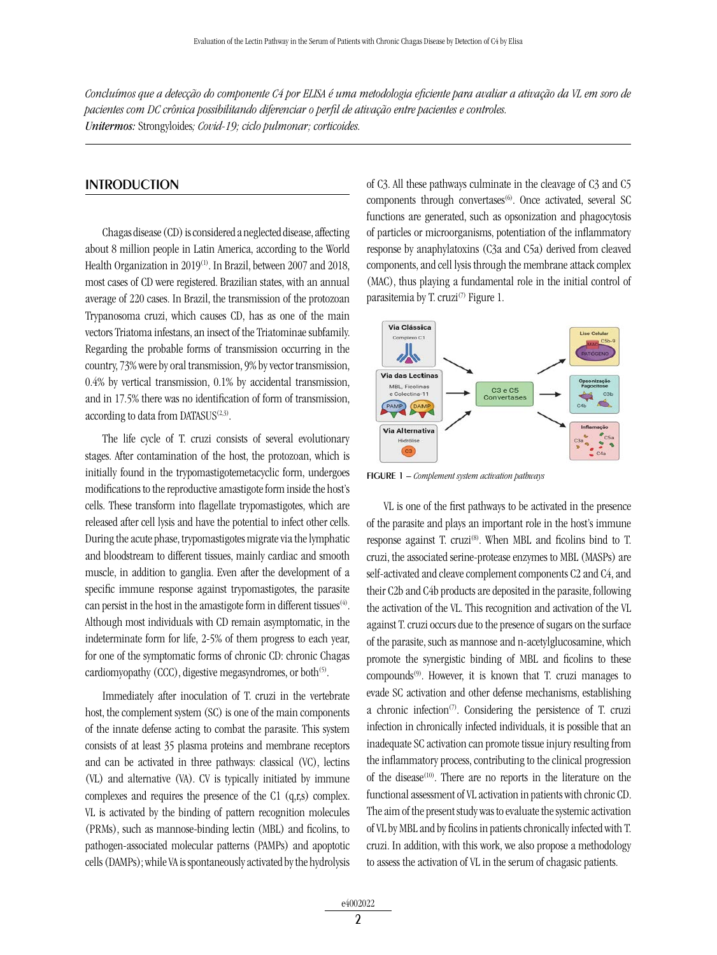*Concluímos que a detecção do componente C4 por ELISA é uma metodologia eficiente para avaliar a ativação da VL em soro de pacientes com DC crônica possibilitando diferenciar o perfil de ativação entre pacientes e controles. Unitermos:* Strongyloides*; Covid-19; ciclo pulmonar; corticoides.*

#### **INTRODUCTION**

Chagas disease (CD) is considered a neglected disease, affecting about 8 million people in Latin America, according to the World Health Organization in 2019<sup>(1)</sup>. In Brazil, between 2007 and 2018, most cases of CD were registered. Brazilian states, with an annual average of 220 cases. In Brazil, the transmission of the protozoan Trypanosoma cruzi, which causes CD, has as one of the main vectors Triatoma infestans, an insect of the Triatominae subfamily. Regarding the probable forms of transmission occurring in the country, 73% were by oral transmission, 9% by vector transmission, 0.4% by vertical transmission, 0.1% by accidental transmission, and in 17.5% there was no identification of form of transmission, according to data from  $DATASUS^{(2,3)}$ .

The life cycle of T. cruzi consists of several evolutionary stages. After contamination of the host, the protozoan, which is initially found in the trypomastigotemetacyclic form, undergoes modifications to the reproductive amastigote form inside the host's cells. These transform into flagellate trypomastigotes, which are released after cell lysis and have the potential to infect other cells. During the acute phase, trypomastigotes migrate via the lymphatic and bloodstream to different tissues, mainly cardiac and smooth muscle, in addition to ganglia. Even after the development of a specific immune response against trypomastigotes, the parasite can persist in the host in the amastigote form in different tissues<sup> $(4)$ </sup>. Although most individuals with CD remain asymptomatic, in the indeterminate form for life, 2-5% of them progress to each year, for one of the symptomatic forms of chronic CD: chronic Chagas cardiomyopathy (CCC), digestive megasyndromes, or both<sup>(5)</sup>.

Immediately after inoculation of T. cruzi in the vertebrate host, the complement system (SC) is one of the main components of the innate defense acting to combat the parasite. This system consists of at least 35 plasma proteins and membrane receptors and can be activated in three pathways: classical (VC), lectins (VL) and alternative (VA). CV is typically initiated by immune complexes and requires the presence of the C1 (q,r,s) complex. VL is activated by the binding of pattern recognition molecules (PRMs), such as mannose-binding lectin (MBL) and ficolins, to pathogen-associated molecular patterns (PAMPs) and apoptotic cells (DAMPs); while VA is spontaneously activated by the hydrolysis of C3. All these pathways culminate in the cleavage of C3 and C5 components through convertases<sup>(6)</sup>. Once activated, several SC functions are generated, such as opsonization and phagocytosis of particles or microorganisms, potentiation of the inflammatory response by anaphylatoxins (C3a and C5a) derived from cleaved components, and cell lysis through the membrane attack complex (MAC), thus playing a fundamental role in the initial control of parasitemia by T. cruzi<sup>(7)</sup> Figure 1.



figure 1 – *Complement system activation pathways*

VL is one of the first pathways to be activated in the presence of the parasite and plays an important role in the host's immune response against T. cruzi<sup>(8)</sup>. When MBL and ficolins bind to T. cruzi, the associated serine-protease enzymes to MBL (MASPs) are self-activated and cleave complement components C2 and C4, and their C2b and C4b products are deposited in the parasite, following the activation of the VL. This recognition and activation of the VL against T. cruzi occurs due to the presence of sugars on the surface of the parasite, such as mannose and n-acetylglucosamine, which promote the synergistic binding of MBL and ficolins to these compounds(9). However, it is known that T. cruzi manages to evade SC activation and other defense mechanisms, establishing a chronic infection<sup> $(7)$ </sup>. Considering the persistence of T. cruzi infection in chronically infected individuals, it is possible that an inadequate SC activation can promote tissue injury resulting from the inflammatory process, contributing to the clinical progression of the disease<sup>(10)</sup>. There are no reports in the literature on the functional assessment of VL activation in patients with chronic CD. The aim of the present study was to evaluate the systemic activation of VL by MBL and by ficolins in patients chronically infected with T. cruzi. In addition, with this work, we also propose a methodology to assess the activation of VL in the serum of chagasic patients.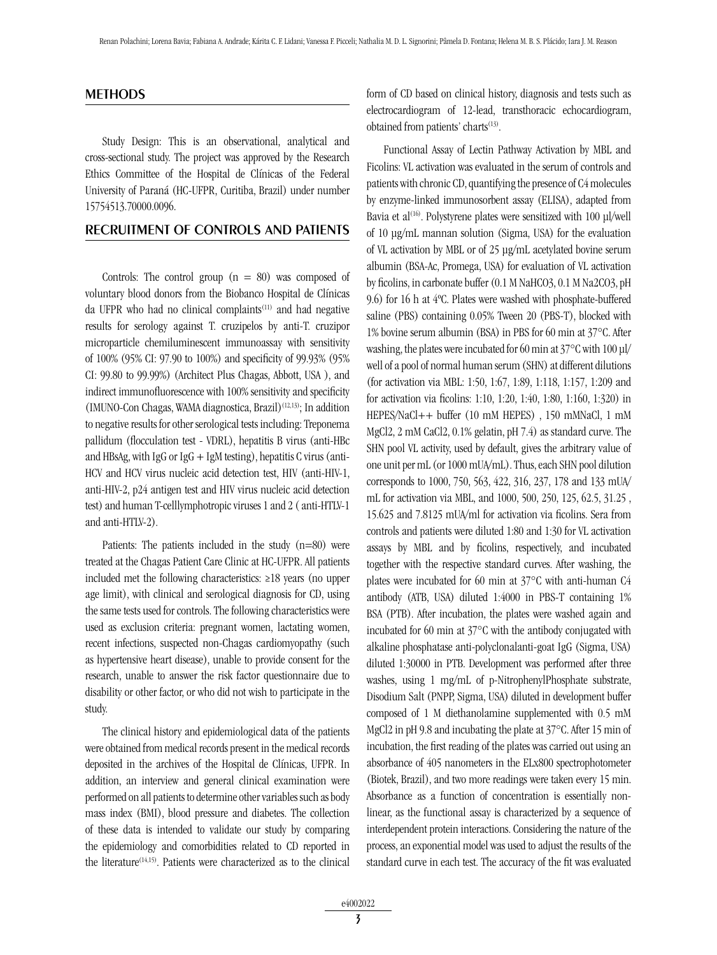#### METHODS

Study Design: This is an observational, analytical and cross-sectional study. The project was approved by the Research Ethics Committee of the Hospital de Clínicas of the Federal University of Paraná (HC-UFPR, Curitiba, Brazil) under number 15754513.70000.0096.

## Recruitment of Controls and Patients

Controls: The control group  $(n = 80)$  was composed of voluntary blood donors from the Biobanco Hospital de Clínicas da UFPR who had no clinical complaints<sup>(11)</sup> and had negative results for serology against T. cruzipelos by anti-T. cruzipor microparticle chemiluminescent immunoassay with sensitivity of 100% (95% CI: 97.90 to 100%) and specificity of 99.93% (95% CI: 99.80 to 99.99%) (Architect Plus Chagas, Abbott, USA ), and indirect immunofluorescence with 100% sensitivity and specificity (IMUNO-Con Chagas, WAMA diagnostica, Brazil)<sup>(12,13)</sup>; In addition to negative results for other serological tests including: Treponema pallidum (flocculation test - VDRL), hepatitis B virus (anti-HBc and HBsAg, with IgG or IgG  $+$  IgM testing), hepatitis C virus (anti-HCV and HCV virus nucleic acid detection test, HIV (anti-HIV-1, anti-HIV-2, p24 antigen test and HIV virus nucleic acid detection test) and human T-celllymphotropic viruses 1 and 2 ( anti-HTLV-1 and anti-HTLV-2).

Patients: The patients included in the study  $(n=80)$  were treated at the Chagas Patient Care Clinic at HC-UFPR. All patients included met the following characteristics: ≥18 years (no upper age limit), with clinical and serological diagnosis for CD, using the same tests used for controls. The following characteristics were used as exclusion criteria: pregnant women, lactating women, recent infections, suspected non-Chagas cardiomyopathy (such as hypertensive heart disease), unable to provide consent for the research, unable to answer the risk factor questionnaire due to disability or other factor, or who did not wish to participate in the study.

The clinical history and epidemiological data of the patients were obtained from medical records present in the medical records deposited in the archives of the Hospital de Clínicas, UFPR. In addition, an interview and general clinical examination were performed on all patients to determine other variables such as body mass index (BMI), blood pressure and diabetes. The collection of these data is intended to validate our study by comparing the epidemiology and comorbidities related to CD reported in the literature<sup>(14,15)</sup>. Patients were characterized as to the clinical form of CD based on clinical history, diagnosis and tests such as electrocardiogram of 12-lead, transthoracic echocardiogram, obtained from patients' charts<sup>(13)</sup>.

Functional Assay of Lectin Pathway Activation by MBL and Ficolins: VL activation was evaluated in the serum of controls and patients with chronic CD, quantifying the presence of C4 molecules by enzyme-linked immunosorbent assay (ELISA), adapted from Bavia et al<sup>(16)</sup>. Polystyrene plates were sensitized with 100 μl/well of 10 μg/mL mannan solution (Sigma, USA) for the evaluation of VL activation by MBL or of 25 μg/mL acetylated bovine serum albumin (BSA-Ac, Promega, USA) for evaluation of VL activation by ficolins, in carbonate buffer (0.1 M NaHCO3, 0.1 M Na2CO3, pH 9.6) for 16 h at 4ºC. Plates were washed with phosphate-buffered saline (PBS) containing 0.05% Tween 20 (PBS-T), blocked with 1% bovine serum albumin (BSA) in PBS for 60 min at 37°C. After washing, the plates were incubated for 60 min at 37°C with 100 μl/ well of a pool of normal human serum (SHN) at different dilutions (for activation via MBL: 1:50, 1:67, 1:89, 1:118, 1:157, 1:209 and for activation via ficolins: 1:10, 1:20, 1:40, 1:80, 1:160, 1:320) in HEPES/NaCl++ buffer (10 mM HEPES) , 150 mMNaCl, 1 mM MgCl2, 2 mM CaCl2, 0.1% gelatin, pH 7.4) as standard curve. The SHN pool VL activity, used by default, gives the arbitrary value of one unit per mL (or 1000 mUA/mL). Thus, each SHN pool dilution corresponds to 1000, 750, 563, 422, 316, 237, 178 and 133 mUA/ mL for activation via MBL, and 1000, 500, 250, 125, 62.5, 31.25 , 15.625 and 7.8125 mUA/ml for activation via ficolins. Sera from controls and patients were diluted 1:80 and 1:30 for VL activation assays by MBL and by ficolins, respectively, and incubated together with the respective standard curves. After washing, the plates were incubated for 60 min at 37°C with anti-human C4 antibody (ATB, USA) diluted 1:4000 in PBS-T containing 1% BSA (PTB). After incubation, the plates were washed again and incubated for 60 min at 37°C with the antibody conjugated with alkaline phosphatase anti-polyclonalanti-goat IgG (Sigma, USA) diluted 1:30000 in PTB. Development was performed after three washes, using 1 mg/mL of p-NitrophenylPhosphate substrate, Disodium Salt (PNPP, Sigma, USA) diluted in development buffer composed of 1 M diethanolamine supplemented with 0.5 mM MgCl2 in pH 9.8 and incubating the plate at 37°C. After 15 min of incubation, the first reading of the plates was carried out using an absorbance of 405 nanometers in the ELx800 spectrophotometer (Biotek, Brazil), and two more readings were taken every 15 min. Absorbance as a function of concentration is essentially nonlinear, as the functional assay is characterized by a sequence of interdependent protein interactions. Considering the nature of the process, an exponential model was used to adjust the results of the standard curve in each test. The accuracy of the fit was evaluated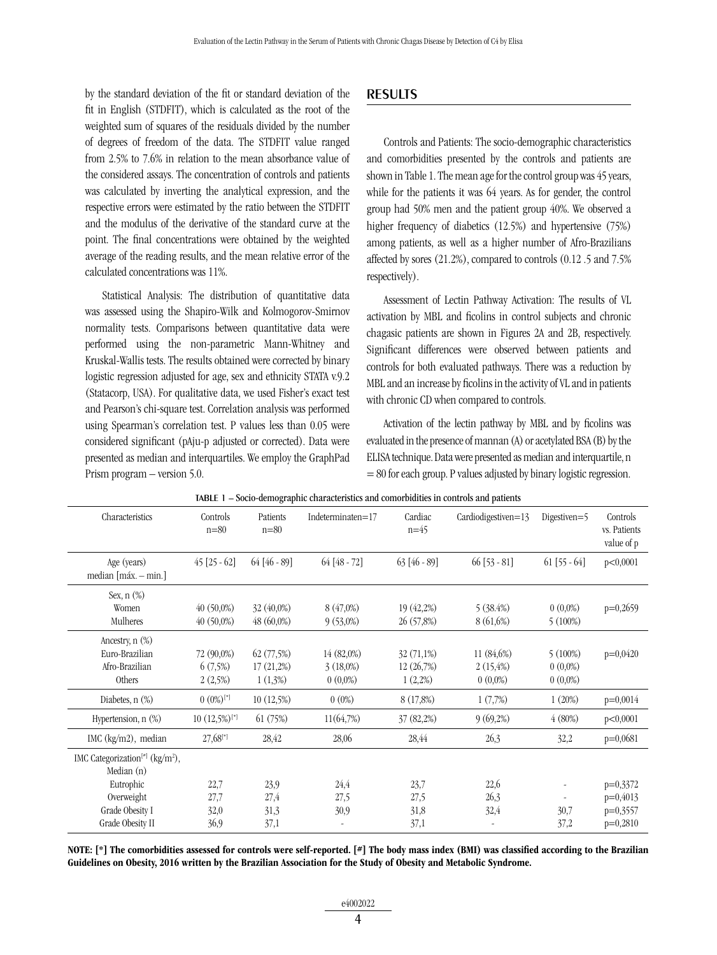by the standard deviation of the fit or standard deviation of the fit in English (STDFIT), which is calculated as the root of the weighted sum of squares of the residuals divided by the number of degrees of freedom of the data. The STDFIT value ranged from 2.5% to 7.6% in relation to the mean absorbance value of the considered assays. The concentration of controls and patients was calculated by inverting the analytical expression, and the respective errors were estimated by the ratio between the STDFIT and the modulus of the derivative of the standard curve at the point. The final concentrations were obtained by the weighted average of the reading results, and the mean relative error of the calculated concentrations was 11%.

Statistical Analysis: The distribution of quantitative data was assessed using the Shapiro-Wilk and Kolmogorov-Smirnov normality tests. Comparisons between quantitative data were performed using the non-parametric Mann-Whitney and Kruskal-Wallis tests. The results obtained were corrected by binary logistic regression adjusted for age, sex and ethnicity STATA v.9.2 (Statacorp, USA). For qualitative data, we used Fisher's exact test and Pearson's chi-square test. Correlation analysis was performed using Spearman's correlation test. P values less than 0.05 were considered significant (pAju-p adjusted or corrected). Data were presented as median and interquartiles. We employ the GraphPad Prism program – version 5.0.

### RESULTS

Controls and Patients: The socio-demographic characteristics and comorbidities presented by the controls and patients are shown in Table 1. The mean age for the control group was 45 years, while for the patients it was 64 years. As for gender, the control group had 50% men and the patient group 40%. We observed a higher frequency of diabetics (12.5%) and hypertensive (75%) among patients, as well as a higher number of Afro-Brazilians affected by sores (21.2%), compared to controls (0.12 .5 and 7.5% respectively).

Assessment of Lectin Pathway Activation: The results of VL activation by MBL and ficolins in control subjects and chronic chagasic patients are shown in Figures 2A and 2B, respectively. Significant differences were observed between patients and controls for both evaluated pathways. There was a reduction by MBL and an increase by ficolins in the activity of VL and in patients with chronic CD when compared to controls.

Activation of the lectin pathway by MBL and by ficolins was evaluated in the presence of mannan (A) or acetylated BSA (B) by the ELISA technique. Data were presented as median and interquartile, n  $= 80$  for each group. P values adjusted by binary logistic regression.

| Characteristics                                                           | Controls<br>$n = 80$             | Patients<br>$n = 80$                 | Indeterminaten=17                       | Cardiac<br>$n=45$                       | Cardiodigestiven=13                  | Digestiven=5                        | Controls<br>vs. Patients<br>value of p |
|---------------------------------------------------------------------------|----------------------------------|--------------------------------------|-----------------------------------------|-----------------------------------------|--------------------------------------|-------------------------------------|----------------------------------------|
| Age (years)<br>median [máx. - min.]                                       | $45$ [25 - 62]                   | $64$ [46 - 89]                       | $64 [48 - 72]$                          | $63[46-89]$                             | $66$ [53 - 81]                       | $61$ [55 - $64$ ]                   | p<0,0001                               |
| Sex, $n$ $(\%)$<br>Women<br>Mulheres                                      | $40(50,0\%)$<br>$40(50,0\%)$     | 32 (40,0%)<br>$48(60,0\%)$           | 8 (47,0%)<br>$9(53,0\%)$                | 19 (42,2%)<br>26 (57,8%)                | 5(38.4%)<br>8(61,6%)                 | $0(0,0\%)$<br>$5(100\%)$            | $p=0,2659$                             |
| Ancestry, $n$ $(\%)$<br>Euro-Brazilian<br>Afro-Brazilian<br><b>Others</b> | 72 (90,0%)<br>6(7,5%)<br>2(2,5%) | 62(77,5%)<br>17(21,2%)<br>$1(1,3\%)$ | 14 (82,0%)<br>$3(18,0\%)$<br>$0(0,0\%)$ | $32(71,1\%)$<br>12(26,7%)<br>$1(2,2\%)$ | 11 (84,6%)<br>2(15,4%)<br>$0(0,0\%)$ | 5(100%)<br>$0(0.0\%)$<br>$0(0,0\%)$ | $p=0,0420$                             |
| Diabetes, $n$ $(\%)$                                                      | $(0.0\%)$ <sup>[*]</sup>         | 10(12,5%)                            | $0(0\%)$                                | 8(17,8%)                                | 1(7,7%)                              | 1(20%)                              | $p=0,0014$                             |
| Hypertension, $n$ $(\%)$                                                  | $10(12,5\%)$ <sup>[*]</sup>      | 61(75%)                              | 11(64,7%)                               | 37(82,2%)                               | 9(69,2%)                             | 4(80%)                              | p<0,0001                               |
| IMC $(kg/m2)$ , median                                                    | $27,68$ <sup>[*]</sup>           | 28,42                                | 28,06                                   | 28,44                                   | 26,3                                 | 32,2                                | $p=0,0681$                             |
| IMC Categorization <sup>[#]</sup> (kg/m <sup>2</sup> ),<br>Median (n)     |                                  |                                      |                                         |                                         |                                      |                                     |                                        |
| Eutrophic                                                                 | 22,7                             | 23,9                                 | 24,4                                    | 23,7                                    | 22,6                                 |                                     | $p=0,3372$                             |
| Overweight                                                                | 27,7                             | 27,4                                 | 27,5                                    | 27,5                                    | 26,3                                 |                                     | $p=0,4013$                             |
| Grade Obesity I                                                           | 32,0                             | 31,3                                 | 30,9                                    | 31,8                                    | 32,4                                 | 30,7                                | $p=0,3557$                             |
| Grade Obesity II                                                          | 36,9                             | 37,1                                 |                                         | 37,1                                    |                                      | 37,2                                | $p=0,2810$                             |

table 1 – Socio-demographic characteristics and comorbidities in controls and patients

NOTE: [\*] The comorbidities assessed for controls were self-reported. [#] The body mass index (BMI) was classified according to the Brazilian Guidelines on Obesity, 2016 written by the Brazilian Association for the Study of Obesity and Metabolic Syndrome.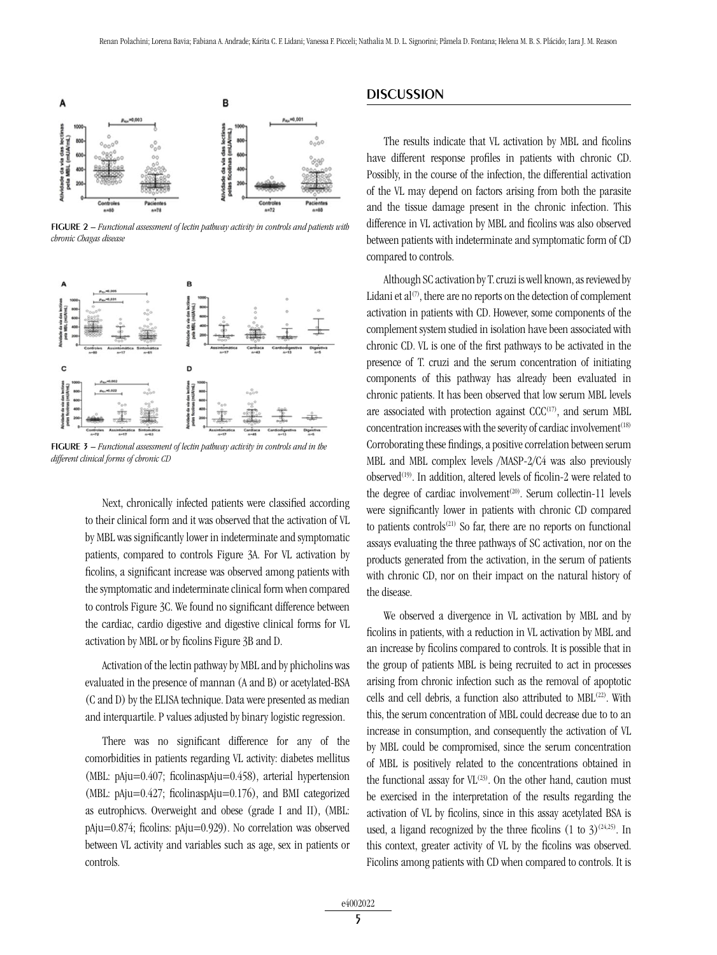

figure 2 – *Functional assessment of lectin pathway activity in controls and patients with chronic Chagas disease*



figure 3 – *Functional assessment of lectin pathway activity in controls and in the different clinical forms of chronic CD*

Next, chronically infected patients were classified according to their clinical form and it was observed that the activation of VL by MBL was significantly lower in indeterminate and symptomatic patients, compared to controls Figure 3A. For VL activation by ficolins, a significant increase was observed among patients with the symptomatic and indeterminate clinical form when compared to controls Figure 3C. We found no significant difference between the cardiac, cardio digestive and digestive clinical forms for VL activation by MBL or by ficolins Figure 3B and D.

Activation of the lectin pathway by MBL and by phicholins was evaluated in the presence of mannan (A and B) or acetylated-BSA (C and D) by the ELISA technique. Data were presented as median and interquartile. P values adjusted by binary logistic regression.

There was no significant difference for any of the comorbidities in patients regarding VL activity: diabetes mellitus (MBL: pAju=0.407; ficolinaspAju=0.458), arterial hypertension (MBL: pAju=0.427; ficolinaspAju=0.176), and BMI categorized as eutrophicvs. Overweight and obese (grade I and II), (MBL: pAju=0.874; ficolins: pAju=0.929). No correlation was observed between VL activity and variables such as age, sex in patients or controls.

### **DISCUSSION**

The results indicate that VL activation by MBL and ficolins have different response profiles in patients with chronic CD. Possibly, in the course of the infection, the differential activation of the VL may depend on factors arising from both the parasite and the tissue damage present in the chronic infection. This difference in VL activation by MBL and ficolins was also observed between patients with indeterminate and symptomatic form of CD compared to controls.

Although SC activation by T. cruzi is well known, as reviewed by Lidani et  $al^{(7)}$ , there are no reports on the detection of complement activation in patients with CD. However, some components of the complement system studied in isolation have been associated with chronic CD. VL is one of the first pathways to be activated in the presence of T. cruzi and the serum concentration of initiating components of this pathway has already been evaluated in chronic patients. It has been observed that low serum MBL levels are associated with protection against  $CCC<sup>(17)</sup>$ , and serum MBL concentration increases with the severity of cardiac involvement $(18)$ Corroborating these findings, a positive correlation between serum MBL and MBL complex levels /MASP-2/C4 was also previously observed<sup>(19)</sup>. In addition, altered levels of ficolin-2 were related to the degree of cardiac involvement<sup>(20)</sup>. Serum collectin-11 levels were significantly lower in patients with chronic CD compared to patients controls<sup> $(21)$ </sup> So far, there are no reports on functional assays evaluating the three pathways of SC activation, nor on the products generated from the activation, in the serum of patients with chronic CD, nor on their impact on the natural history of the disease.

We observed a divergence in VL activation by MBL and by ficolins in patients, with a reduction in VL activation by MBL and an increase by ficolins compared to controls. It is possible that in the group of patients MBL is being recruited to act in processes arising from chronic infection such as the removal of apoptotic cells and cell debris, a function also attributed to MBL<sup>(22)</sup>. With this, the serum concentration of MBL could decrease due to to an increase in consumption, and consequently the activation of VL by MBL could be compromised, since the serum concentration of MBL is positively related to the concentrations obtained in the functional assay for  $VL^{(23)}$ . On the other hand, caution must be exercised in the interpretation of the results regarding the activation of VL by ficolins, since in this assay acetylated BSA is used, a ligand recognized by the three ficolins  $(1 \text{ to } 3)^{(24,25)}$ . In this context, greater activity of VL by the ficolins was observed. Ficolins among patients with CD when compared to controls. It is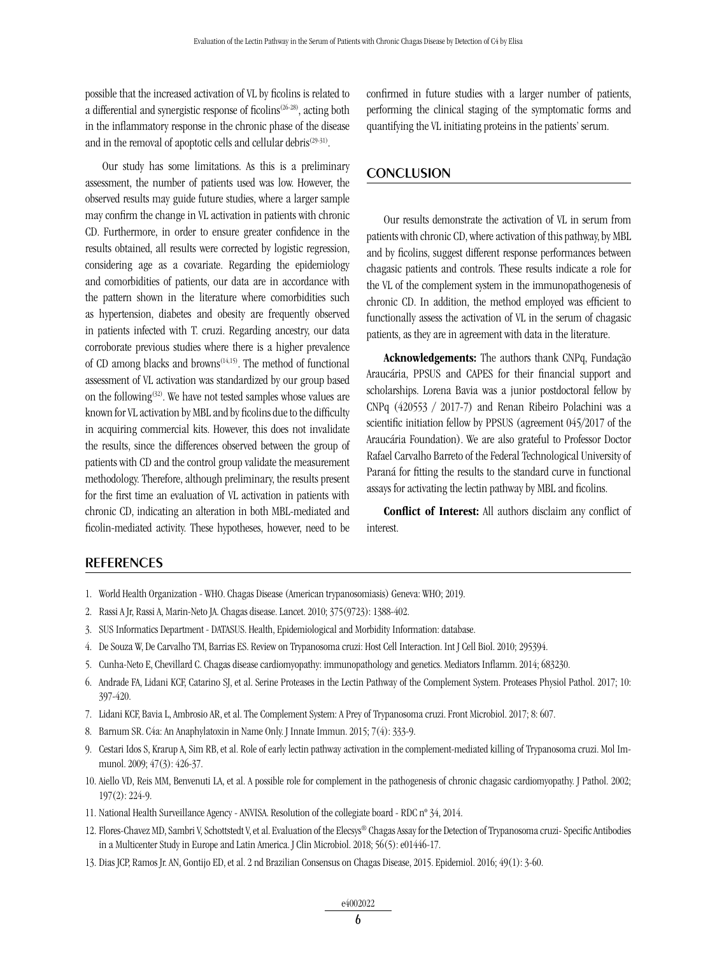possible that the increased activation of VL by ficolins is related to a differential and synergistic response of ficolins(26-28), acting both in the inflammatory response in the chronic phase of the disease and in the removal of apoptotic cells and cellular debris<sup>(29-31)</sup>.

Our study has some limitations. As this is a preliminary assessment, the number of patients used was low. However, the observed results may guide future studies, where a larger sample may confirm the change in VL activation in patients with chronic CD. Furthermore, in order to ensure greater confidence in the results obtained, all results were corrected by logistic regression, considering age as a covariate. Regarding the epidemiology and comorbidities of patients, our data are in accordance with the pattern shown in the literature where comorbidities such as hypertension, diabetes and obesity are frequently observed in patients infected with T. cruzi. Regarding ancestry, our data corroborate previous studies where there is a higher prevalence of CD among blacks and browns<sup>(14,15)</sup>. The method of functional assessment of VL activation was standardized by our group based on the following<sup>(32)</sup>. We have not tested samples whose values are known for VL activation by MBL and by ficolins due to the difficulty in acquiring commercial kits. However, this does not invalidate the results, since the differences observed between the group of patients with CD and the control group validate the measurement methodology. Therefore, although preliminary, the results present for the first time an evaluation of VL activation in patients with chronic CD, indicating an alteration in both MBL-mediated and ficolin-mediated activity. These hypotheses, however, need to be confirmed in future studies with a larger number of patients, performing the clinical staging of the symptomatic forms and quantifying the VL initiating proteins in the patients' serum.

#### **CONCLUSION**

Our results demonstrate the activation of VL in serum from patients with chronic CD, where activation of this pathway, by MBL and by ficolins, suggest different response performances between chagasic patients and controls. These results indicate a role for the VL of the complement system in the immunopathogenesis of chronic CD. In addition, the method employed was efficient to functionally assess the activation of VL in the serum of chagasic patients, as they are in agreement with data in the literature.

Acknowledgements: The authors thank CNPq, Fundação Araucária, PPSUS and CAPES for their financial support and scholarships. Lorena Bavia was a junior postdoctoral fellow by CNPq (420553 / 2017-7) and Renan Ribeiro Polachini was a scientific initiation fellow by PPSUS (agreement 045/2017 of the Araucária Foundation). We are also grateful to Professor Doctor Rafael Carvalho Barreto of the Federal Technological University of Paraná for fitting the results to the standard curve in functional assays for activating the lectin pathway by MBL and ficolins.

Conflict of Interest: All authors disclaim any conflict of interest.

#### **REFERENCES**

- 1. World Health Organization WHO. Chagas Disease (American trypanosomiasis) Geneva: WHO; 2019.
- 2. Rassi A Jr, Rassi A, Marin-Neto JA. Chagas disease. Lancet. 2010; 375(9723): 1388-402.
- 3. SUS Informatics Department DATASUS. Health, Epidemiological and Morbidity Information: database.
- 4. De Souza W, De Carvalho TM, Barrias ES. Review on Trypanosoma cruzi: Host Cell Interaction. Int J Cell Biol. 2010; 295394.
- 5. Cunha-Neto E, Chevillard C. Chagas disease cardiomyopathy: immunopathology and genetics. Mediators Inflamm. 2014; 683230.
- 6. Andrade FA, Lidani KCF, Catarino SJ, et al. Serine Proteases in the Lectin Pathway of the Complement System. Proteases Physiol Pathol. 2017; 10: 397-420.
- 7. Lidani KCF, Bavia L, Ambrosio AR, et al. The Complement System: A Prey of Trypanosoma cruzi. Front Microbiol. 2017; 8: 607.
- 8. Barnum SR. C4a: An Anaphylatoxin in Name Only. J Innate Immun. 2015; 7(4): 333-9.
- 9. Cestari Idos S, Krarup A, Sim RB, et al. Role of early lectin pathway activation in the complement-mediated killing of Trypanosoma cruzi. Mol Immunol. 2009; 47(3): 426-37.
- 10. Aiello VD, Reis MM, Benvenuti LA, et al. A possible role for complement in the pathogenesis of chronic chagasic cardiomyopathy. J Pathol. 2002; 197(2): 224-9.
- 11. National Health Surveillance Agency ANVISA. Resolution of the collegiate board RDC nº 34, 2014.
- 12. Flores-Chavez MD, Sambri V, Schottstedt V, et al. Evaluation of the Elecsys® Chagas Assay for the Detection of Trypanosoma cruzi- Specific Antibodies in a Multicenter Study in Europe and Latin America. J Clin Microbiol. 2018; 56(5): e01446-17.
- 13. Dias JCP, Ramos Jr. AN, Gontijo ED, et al. 2 nd Brazilian Consensus on Chagas Disease, 2015. Epidemiol. 2016; 49(1): 3-60.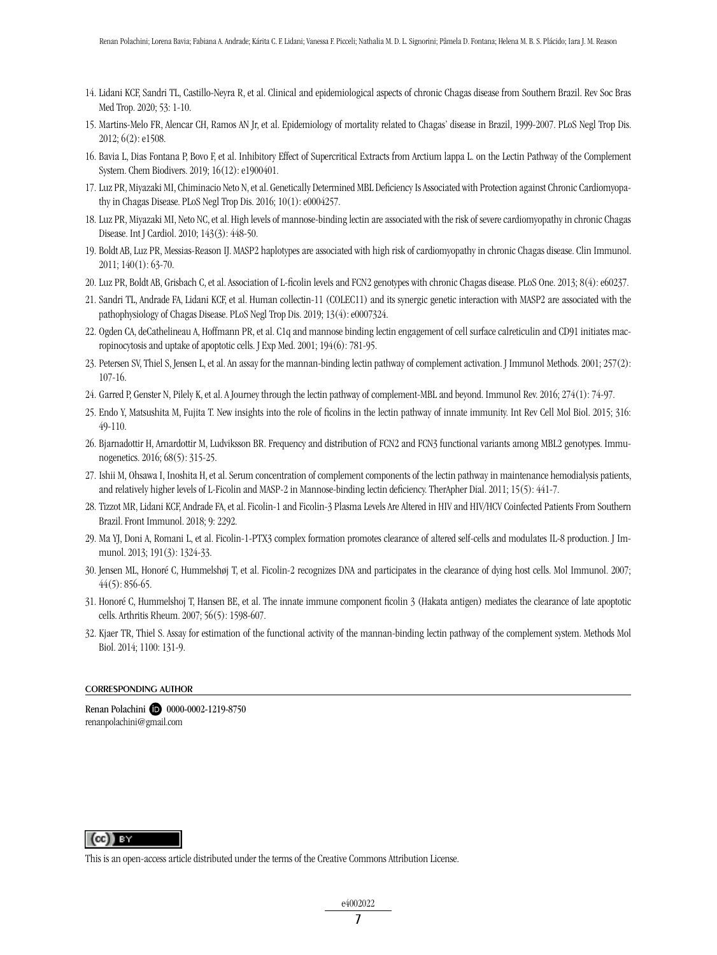- 14. Lidani KCF, Sandri TL, Castillo-Neyra R, et al. Clinical and epidemiological aspects of chronic Chagas disease from Southern Brazil. Rev Soc Bras Med Trop. 2020; 53: 1-10.
- 15. Martins-Melo FR, Alencar CH, Ramos AN Jr, et al. Epidemiology of mortality related to Chagas' disease in Brazil, 1999-2007. PLoS Negl Trop Dis. 2012; 6(2): e1508.
- 16. Bavia L, Dias Fontana P, Bovo F, et al. Inhibitory Effect of Supercritical Extracts from Arctium lappa L. on the Lectin Pathway of the Complement System. Chem Biodivers. 2019; 16(12): e1900401.
- 17. Luz PR, Miyazaki MI, Chiminacio Neto N, et al. Genetically Determined MBL Deficiency Is Associated with Protection against Chronic Cardiomyopathy in Chagas Disease. PLoS Negl Trop Dis. 2016; 10(1): e0004257.
- 18. Luz PR, Miyazaki MI, Neto NC, et al. High levels of mannose-binding lectin are associated with the risk of severe cardiomyopathy in chronic Chagas Disease. Int J Cardiol. 2010; 143(3): 448-50.
- 19. Boldt AB, Luz PR, Messias-Reason IJ. MASP2 haplotypes are associated with high risk of cardiomyopathy in chronic Chagas disease. Clin Immunol. 2011; 140(1): 63-70.
- 20. Luz PR, Boldt AB, Grisbach C, et al. Association of L-ficolin levels and FCN2 genotypes with chronic Chagas disease. PLoS One. 2013; 8(4): e60237.
- 21. Sandri TL, Andrade FA, Lidani KCF, et al. Human collectin-11 (COLEC11) and its synergic genetic interaction with MASP2 are associated with the pathophysiology of Chagas Disease. PLoS Negl Trop Dis. 2019; 13(4): e0007324.
- 22. Ogden CA, deCathelineau A, Hoffmann PR, et al. C1q and mannose binding lectin engagement of cell surface calreticulin and CD91 initiates macropinocytosis and uptake of apoptotic cells. J Exp Med. 2001; 194(6): 781-95.
- 23. Petersen SV, Thiel S, Jensen L, et al. An assay for the mannan-binding lectin pathway of complement activation. J Immunol Methods. 2001; 257(2): 107-16.
- 24. Garred P, Genster N, Pilely K, et al. A Journey through the lectin pathway of complement-MBL and beyond. Immunol Rev. 2016; 274(1): 74-97.
- 25. Endo Y, Matsushita M, Fujita T. New insights into the role of ficolins in the lectin pathway of innate immunity. Int Rev Cell Mol Biol. 2015; 316: 49-110.
- 26. Bjarnadottir H, Arnardottir M, Ludviksson BR. Frequency and distribution of FCN2 and FCN3 functional variants among MBL2 genotypes. Immunogenetics. 2016; 68(5): 315-25.
- 27. Ishii M, Ohsawa I, Inoshita H, et al. Serum concentration of complement components of the lectin pathway in maintenance hemodialysis patients, and relatively higher levels of L-Ficolin and MASP-2 in Mannose-binding lectin deficiency. TherApher Dial. 2011; 15(5): 441-7.
- 28. Tizzot MR, Lidani KCF, Andrade FA, et al. Ficolin-1 and Ficolin-3 Plasma Levels Are Altered in HIV and HIV/HCV Coinfected Patients From Southern Brazil. Front Immunol. 2018; 9: 2292.
- 29. Ma YJ, Doni A, Romani L, et al. Ficolin-1-PTX3 complex formation promotes clearance of altered self-cells and modulates IL-8 production. J Immunol. 2013; 191(3): 1324-33.
- 30. Jensen ML, Honoré C, Hummelshøj T, et al. Ficolin-2 recognizes DNA and participates in the clearance of dying host cells. Mol Immunol. 2007; 44(5): 856-65.
- 31. Honoré C, Hummelshoj T, Hansen BE, et al. The innate immune component ficolin 3 (Hakata antigen) mediates the clearance of late apoptotic cells. Arthritis Rheum. 2007; 56(5): 1598-607.
- 32. Kjaer TR, Thiel S. Assay for estimation of the functional activity of the mannan-binding lectin pathway of the complement system. Methods Mol Biol. 2014; 1100: 131-9.

#### Corresponding author

Renan Polachini **10** 0000-0002-1219-8750 renanpolachini@gmail.com

## $(c)$  BY

This is an open-access article distributed under the terms of the Creative Commons Attribution License.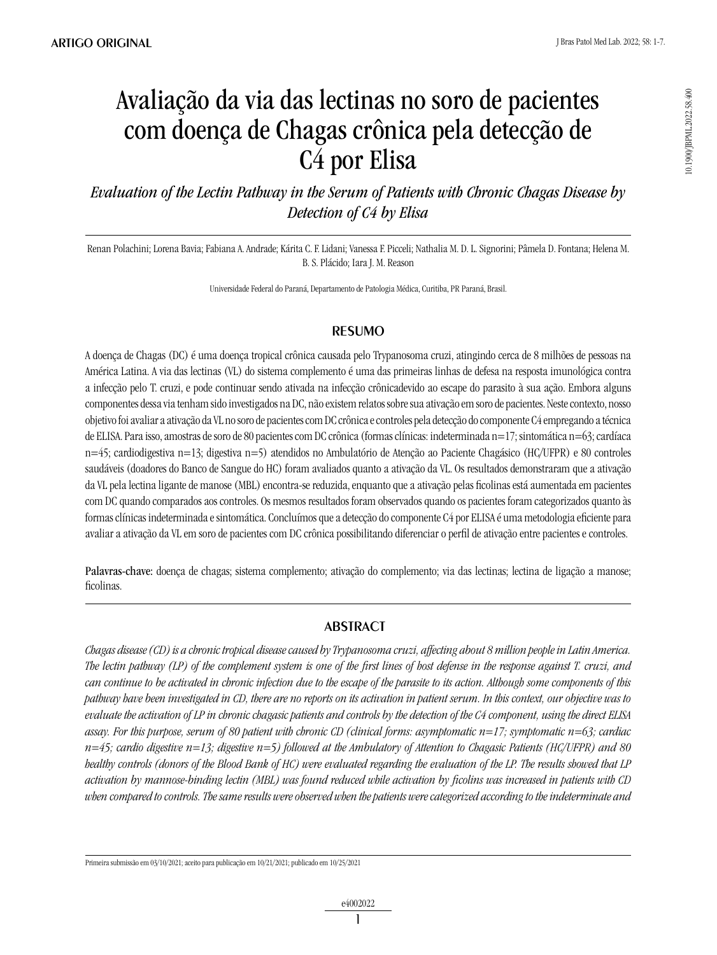# Avaliação da via das lectinas no soro de pacientes com doença de Chagas crônica pela detecção de C4 por Elisa

*Evaluation of the Lectin Pathway in the Serum of Patients with Chronic Chagas Disease by Detection of C4 by Elisa*

Renan Polachini; Lorena Bavia; Fabiana A. Andrade; Kárita C. F. Lidani; Vanessa F. Picceli; Nathalia M. D. L. Signorini; Pâmela D. Fontana; Helena M. B. S. Plácido; Iara J. M. Reason

Universidade Federal do Paraná, Departamento de Patologia Médica, Curitiba, PR Paraná, Brasil.

## **RESUMO**

A doença de Chagas (DC) é uma doença tropical crônica causada pelo Trypanosoma cruzi, atingindo cerca de 8 milhões de pessoas na América Latina. A via das lectinas (VL) do sistema complemento é uma das primeiras linhas de defesa na resposta imunológica contra a infecção pelo T. cruzi, e pode continuar sendo ativada na infecção crônicadevido ao escape do parasito à sua ação. Embora alguns componentes dessa via tenham sido investigados na DC, não existem relatos sobre sua ativação em soro de pacientes. Neste contexto, nosso objetivo foi avaliar a ativação da VL no soro de pacientes com DC crônica e controles pela detecção do componente C4 empregando a técnica de ELISA. Para isso, amostras de soro de 80 pacientes com DC crônica (formas clínicas: indeterminada n=17; sintomática n=63; cardíaca n=45; cardiodigestiva n=13; digestiva n=5) atendidos no Ambulatório de Atenção ao Paciente Chagásico (HC/UFPR) e 80 controles saudáveis (doadores do Banco de Sangue do HC) foram avaliados quanto a ativação da VL. Os resultados demonstraram que a ativação da VL pela lectina ligante de manose (MBL) encontra-se reduzida, enquanto que a ativação pelas ficolinas está aumentada em pacientes com DC quando comparados aos controles. Os mesmos resultados foram observados quando os pacientes foram categorizados quanto às formas clínicas indeterminada e sintomática. Concluímos que a detecção do componente C4 por ELISA é uma metodologia eficiente para avaliar a ativação da VL em soro de pacientes com DC crônica possibilitando diferenciar o perfil de ativação entre pacientes e controles.

Palavras-chave: doença de chagas; sistema complemento; ativação do complemento; via das lectinas; lectina de ligação a manose; ficolinas.

## **ABSTRACT**

*Chagas disease (CD) is a chronic tropical disease caused by Trypanosoma cruzi, affecting about 8 million people in Latin America. The lectin pathway (LP) of the complement system is one of the first lines of host defense in the response against T. cruzi, and can continue to be activated in chronic infection due to the escape of the parasite to its action. Although some components of this pathway have been investigated in CD, there are no reports on its activation in patient serum. In this context, our objective was to evaluate the activation of LP in chronic chagasic patients and controls by the detection of the C4 component, using the direct ELISA assay. For this purpose, serum of 80 patient with chronic CD (clinical forms: asymptomatic n=17; symptomatic n=63; cardiac n=45; cardio digestive n=13; digestive n=5) followed at the Ambulatory of Attention to Chagasic Patients (HC/UFPR) and 80 healthy controls (donors of the Blood Bank of HC) were evaluated regarding the evaluation of the LP. The results showed that LP activation by mannose-binding lectin (MBL) was found reduced while activation by ficolins was increased in patients with CD when compared to controls. The same results were observed when the patients were categorized according to the indeterminate and* 

Primeira submissão em 03/10/2021; aceito para publicação em 10/21/2021; publicado em 10/25/2021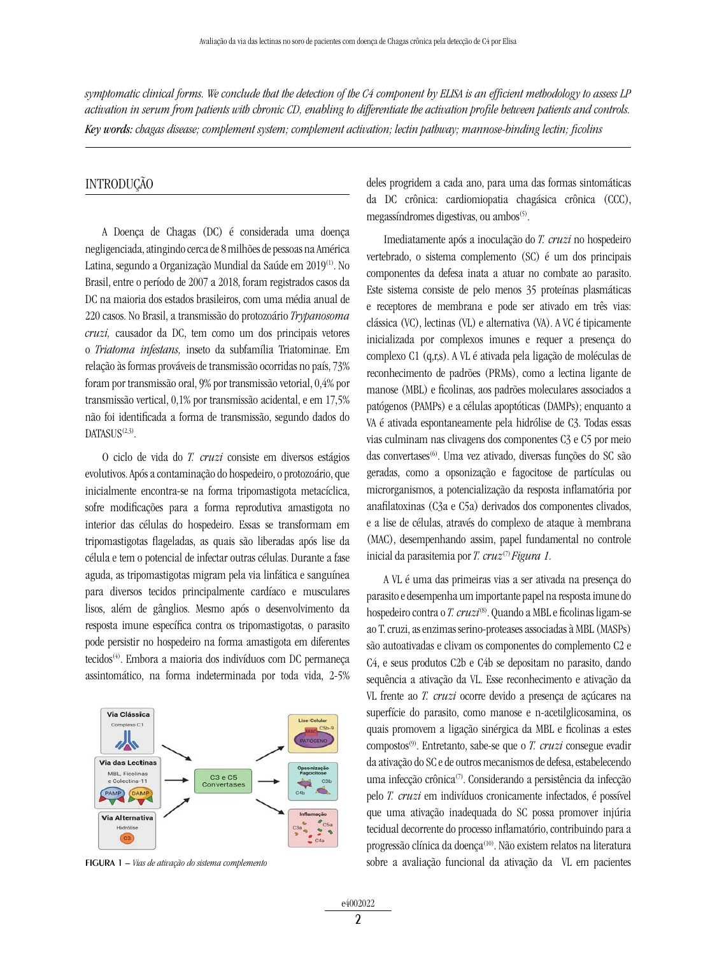*symptomatic clinical forms. We conclude that the detection of the C4 component by ELISA is an efficient methodology to assess LP activation in serum from patients with chronic CD, enabling to differentiate the activation profile between patients and controls. Key words: chagas disease; complement system; complement activation; lectin pathway; mannose-binding lectin; ficolins*

#### INTRODUÇÃO

A Doença de Chagas (DC) é considerada uma doença negligenciada, atingindo cerca de 8 milhões de pessoas na América Latina, segundo a Organização Mundial da Saúde em 2019<sup>(1)</sup>. No Brasil, entre o período de 2007 a 2018, foram registrados casos da DC na maioria dos estados brasileiros, com uma média anual de 220 casos. No Brasil, a transmissão do protozoário *Trypanosoma cruzi,* causador da DC, tem como um dos principais vetores o *Triatoma infestans,* inseto da subfamília Triatominae. Em relação às formas prováveis de transmissão ocorridas no país, 73% foram por transmissão oral, 9% por transmissão vetorial, 0,4% por transmissão vertical, 0,1% por transmissão acidental, e em 17,5% não foi identificada a forma de transmissão, segundo dados do DATASUS<sup>(2,3)</sup>.

O ciclo de vida do *T. cruzi* consiste em diversos estágios evolutivos. Após a contaminação do hospedeiro, o protozoário, que inicialmente encontra-se na forma tripomastigota metacíclica, sofre modificações para a forma reprodutiva amastigota no interior das células do hospedeiro. Essas se transformam em tripomastigotas flageladas, as quais são liberadas após lise da célula e tem o potencial de infectar outras células. Durante a fase aguda, as tripomastigotas migram pela via linfática e sanguínea para diversos tecidos principalmente cardíaco e musculares lisos, além de gânglios. Mesmo após o desenvolvimento da resposta imune específica contra os tripomastigotas, o parasito pode persistir no hospedeiro na forma amastigota em diferentes tecidos<sup>(4)</sup>. Embora a maioria dos indivíduos com DC permaneca assintomático, na forma indeterminada por toda vida, 2-5%

Via Clássica  $nC1$ 小 Via das Lectinas MBL, Ficoli C3 e C5<br>Convertases e Colectina-11 Via Alternativa

figurA 1 – *Vias de ativação do sistema complemento*

deles progridem a cada ano, para uma das formas sintomáticas da DC crônica: cardiomiopatia chagásica crônica (CCC), megassíndromes digestivas, ou ambos $(5)$ .

Imediatamente após a inoculação do *T. cruzi* no hospedeiro vertebrado, o sistema complemento (SC) é um dos principais componentes da defesa inata a atuar no combate ao parasito. Este sistema consiste de pelo menos 35 proteínas plasmáticas e receptores de membrana e pode ser ativado em três vias: clássica (VC), lectinas (VL) e alternativa (VA). A VC é tipicamente inicializada por complexos imunes e requer a presença do complexo C1 (q,r,s). A VL é ativada pela ligação de moléculas de reconhecimento de padrões (PRMs), como a lectina ligante de manose (MBL) e ficolinas, aos padrões moleculares associados a patógenos (PAMPs) e a células apoptóticas (DAMPs); enquanto a VA é ativada espontaneamente pela hidrólise de C3. Todas essas vias culminam nas clivagens dos componentes C3 e C5 por meio das convertases<sup>(6)</sup>. Uma vez ativado, diversas funções do SC são geradas, como a opsonização e fagocitose de partículas ou microrganismos, a potencialização da resposta inflamatória por anafilatoxinas (C3a e C5a) derivados dos componentes clivados, e a lise de células, através do complexo de ataque à membrana (MAC), desempenhando assim, papel fundamental no controle inicial da parasitemia por *T. cruz*(7) *Figura 1.*

A VL é uma das primeiras vias a ser ativada na presença do parasito e desempenha um importante papel na resposta imune do hospedeiro contra o *T. cruzi*(8). Quando a MBL e ficolinas ligam-se ao T. cruzi, as enzimas serino-proteases associadas à MBL (MASPs) são autoativadas e clivam os componentes do complemento C2 e C4, e seus produtos C2b e C4b se depositam no parasito, dando sequência a ativação da VL. Esse reconhecimento e ativação da VL frente ao *T. cruzi* ocorre devido a presença de açúcares na superfície do parasito, como manose e n-acetilglicosamina, os quais promovem a ligação sinérgica da MBL e ficolinas a estes compostos(9). Entretanto, sabe-se que o *T. cruzi* consegue evadir da ativação do SC e de outros mecanismos de defesa, estabelecendo uma infecção crônica(7). Considerando a persistência da infecção pelo *T. cruzi* em indivíduos cronicamente infectados, é possível que uma ativação inadequada do SC possa promover injúria tecidual decorrente do processo inflamatório, contribuindo para a progressão clínica da doença<sup>(10)</sup>. Não existem relatos na literatura sobre a avaliação funcional da ativação da VL em pacientes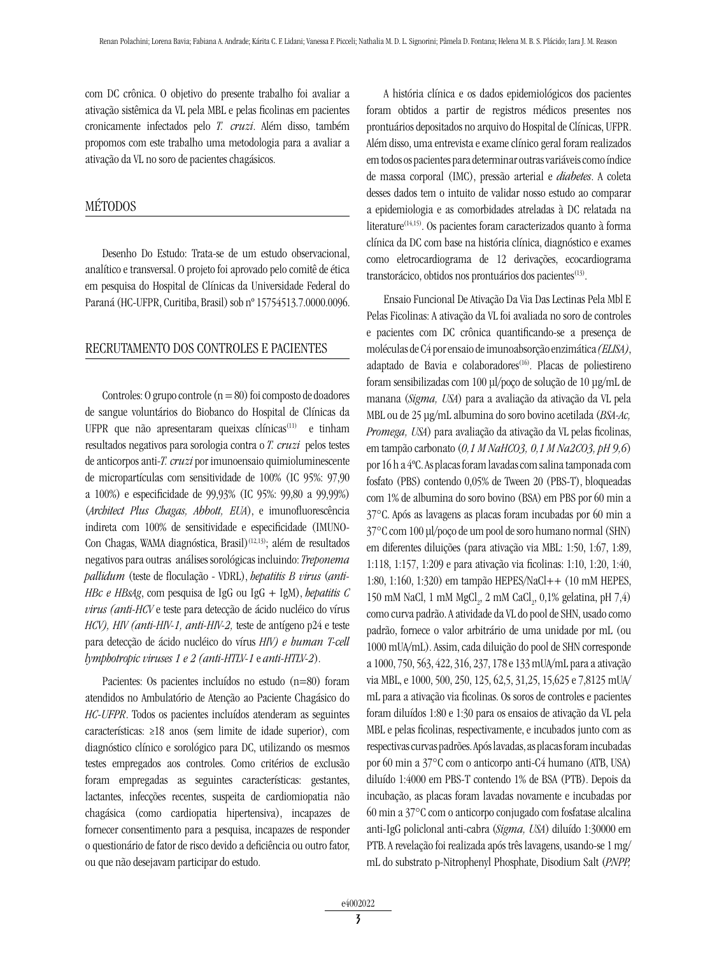com DC crônica. O objetivo do presente trabalho foi avaliar a ativação sistêmica da VL pela MBL e pelas ficolinas em pacientes cronicamente infectados pelo *T. cruzi*. Além disso, também propomos com este trabalho uma metodologia para a avaliar a ativação da VL no soro de pacientes chagásicos.

### MÉTODOS

Desenho Do Estudo: Trata-se de um estudo observacional, analítico e transversal. O projeto foi aprovado pelo comitê de ética em pesquisa do Hospital de Clínicas da Universidade Federal do Paraná (HC-UFPR, Curitiba, Brasil) sob nº 15754513.7.0000.0096.

#### Recrutamento Dos Controles E Pacientes

Controles: O grupo controle  $(n = 80)$  foi composto de doadores de sangue voluntários do Biobanco do Hospital de Clínicas da UFPR que não apresentaram queixas clínicas<sup>(11)</sup> e tinham resultados negativos para sorologia contra o *T. cruzi* pelos testes de anticorpos anti-*T. cruzi* por imunoensaio quimioluminescente de micropartículas com sensitividade de 100% (IC 95%: 97,90 a 100%) e especificidade de 99,93% (IC 95%: 99,80 a 99,99%) (*Architect Plus Chagas, Abbott, EUA*), e imunofluorescência indireta com 100% de sensitividade e especificidade (IMUNO-Con Chagas, WAMA diagnóstica, Brasil)<sup>(12,13)</sup>; além de resultados negativos para outras análises sorológicas incluindo: *Treponema pallidum* (teste de floculação - VDRL), *hepatitis B virus* (*anti-HBc e HBsAg*, com pesquisa de IgG ou IgG + IgM), *hepatitis C virus (anti-HCV* e teste para detecção de ácido nucléico do vírus *HCV), HIV (anti-HIV-1, anti-HIV-2,* teste de antígeno p24 e teste para detecção de ácido nucléico do vírus *HIV) e human T-cell lymphotropic viruses 1 e 2 (anti-HTLV-1* e *anti-HTLV-2*).

Pacientes: Os pacientes incluídos no estudo (n=80) foram atendidos no Ambulatório de Atenção ao Paciente Chagásico do *HC-UFPR*. Todos os pacientes incluídos atenderam as seguintes características: ≥18 anos (sem limite de idade superior), com diagnóstico clínico e sorológico para DC, utilizando os mesmos testes empregados aos controles. Como critérios de exclusão foram empregadas as seguintes características: gestantes, lactantes, infecções recentes, suspeita de cardiomiopatia não chagásica (como cardiopatia hipertensiva), incapazes de fornecer consentimento para a pesquisa, incapazes de responder o questionário de fator de risco devido a deficiência ou outro fator, ou que não desejavam participar do estudo.

A história clínica e os dados epidemiológicos dos pacientes foram obtidos a partir de registros médicos presentes nos prontuários depositados no arquivo do Hospital de Clínicas, UFPR. Além disso, uma entrevista e exame clínico geral foram realizados em todos os pacientes para determinar outras variáveis como índice de massa corporal (IMC), pressão arterial e *diabetes*. A coleta desses dados tem o intuito de validar nosso estudo ao comparar a epidemiologia e as comorbidades atreladas à DC relatada na literature<sup>(14,15)</sup>. Os pacientes foram caracterizados quanto à forma clínica da DC com base na história clínica, diagnóstico e exames como eletrocardiograma de 12 derivações, ecocardiograma transtorácico, obtidos nos prontuários dos pacientes<sup>(13)</sup>.

Ensaio Funcional De Ativação Da Via Das Lectinas Pela Mbl E Pelas Ficolinas: A ativação da VL foi avaliada no soro de controles e pacientes com DC crônica quantificando-se a presença de moléculas de C4 por ensaio de imunoabsorção enzimática *(ELISA)*, adaptado de Bavia e colaboradores<sup>(16)</sup>. Placas de poliestireno foram sensibilizadas com 100 μl/poço de solução de 10 μg/mL de manana (*Sigma, USA*) para a avaliação da ativação da VL pela MBL ou de 25 μg/mL albumina do soro bovino acetilada (*BSA-Ac, Promega, USA*) para avaliação da ativação da VL pelas ficolinas, em tampão carbonato (*0,1 M NaHCO3, 0,1 M Na2CO3, pH 9,6*) por 16 h a 4ºC. As placas foram lavadas com salina tamponada com fosfato (PBS) contendo 0,05% de Tween 20 (PBS-T), bloqueadas com 1% de albumina do soro bovino (BSA) em PBS por 60 min a 37°C. Após as lavagens as placas foram incubadas por 60 min a 37°C com 100 μl/poço de um pool de soro humano normal (SHN) em diferentes diluições (para ativação via MBL: 1:50, 1:67, 1:89, 1:118, 1:157, 1:209 e para ativação via ficolinas: 1:10, 1:20, 1:40, 1:80, 1:160, 1:320) em tampão HEPES/NaCl++ (10 mM HEPES,  $150$  mM NaCl,  $1$  mM  $\mathrm{MgCl}_2$  ,  $2$  mM  $\mathrm{CaCl}_2$  ,  $0,1\%$  gelatina, pH  $7,4)$ como curva padrão. A atividade da VL do pool de SHN, usado como padrão, fornece o valor arbitrário de uma unidade por mL (ou 1000 mUA/mL). Assim, cada diluição do pool de SHN corresponde a 1000, 750, 563, 422, 316, 237, 178 e 133 mUA/mL para a ativação via MBL, e 1000, 500, 250, 125, 62,5, 31,25, 15,625 e 7,8125 mUA/ mL para a ativação via ficolinas. Os soros de controles e pacientes foram diluídos 1:80 e 1:30 para os ensaios de ativação da VL pela MBL e pelas ficolinas, respectivamente, e incubados junto com as respectivas curvas padrões. Após lavadas, as placas foram incubadas por 60 min a 37°C com o anticorpo anti-C4 humano (ATB, USA) diluído 1:4000 em PBS-T contendo 1% de BSA (PTB). Depois da incubação, as placas foram lavadas novamente e incubadas por 60 min a 37°C com o anticorpo conjugado com fosfatase alcalina anti-IgG policlonal anti-cabra (*Sigma, USA*) diluído 1:30000 em PTB. A revelação foi realizada após três lavagens, usando-se 1 mg/ mL do substrato p-Nitrophenyl Phosphate, Disodium Salt (*PNPP,*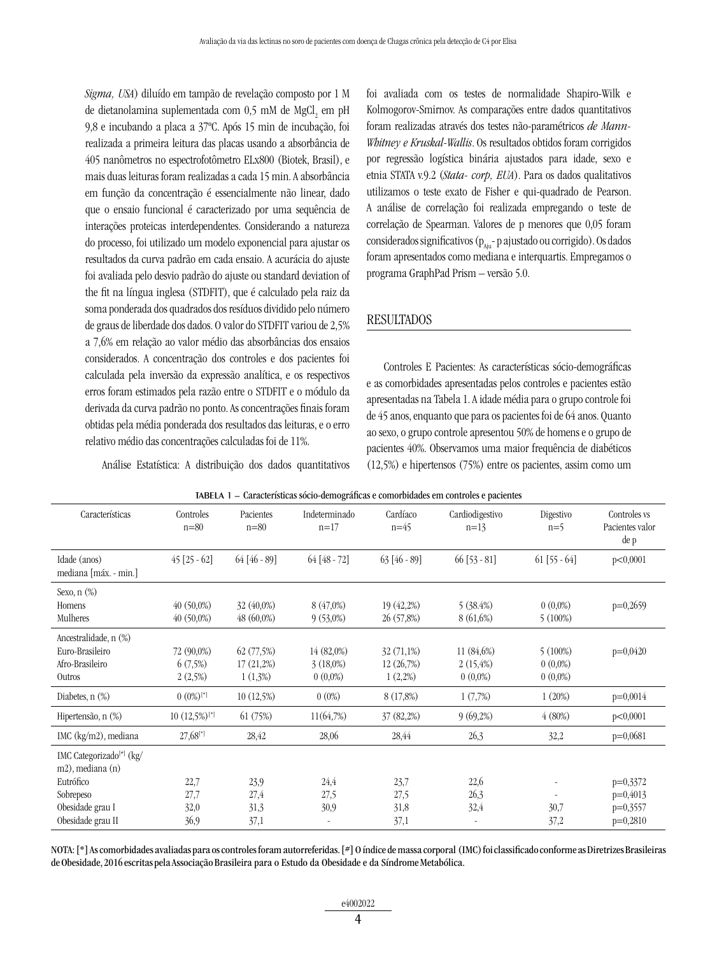*Sigma, USA*) diluído em tampão de revelação composto por 1 M de dietanolamina suplementada com 0,5 mM de  ${ {\rm MgCl}_{\tiny 2}}$ em pH 9,8 e incubando a placa a 37ºC. Após 15 min de incubação, foi realizada a primeira leitura das placas usando a absorbância de 405 nanômetros no espectrofotômetro ELx800 (Biotek, Brasil), e mais duas leituras foram realizadas a cada 15 min. A absorbância em função da concentração é essencialmente não linear, dado que o ensaio funcional é caracterizado por uma sequência de interações proteicas interdependentes. Considerando a natureza do processo, foi utilizado um modelo exponencial para ajustar os resultados da curva padrão em cada ensaio. A acurácia do ajuste foi avaliada pelo desvio padrão do ajuste ou standard deviation of the fit na língua inglesa (STDFIT), que é calculado pela raiz da soma ponderada dos quadrados dos resíduos dividido pelo número de graus de liberdade dos dados. O valor do STDFIT variou de 2,5% a 7,6% em relação ao valor médio das absorbâncias dos ensaios considerados. A concentração dos controles e dos pacientes foi calculada pela inversão da expressão analítica, e os respectivos erros foram estimados pela razão entre o STDFIT e o módulo da derivada da curva padrão no ponto. As concentrações finais foram obtidas pela média ponderada dos resultados das leituras, e o erro relativo médio das concentrações calculadas foi de 11%.

Análise Estatística: A distribuição dos dados quantitativos

foi avaliada com os testes de normalidade Shapiro-Wilk e Kolmogorov-Smirnov. As comparações entre dados quantitativos foram realizadas através dos testes não-paramétricos *de Mann-Whitney e Kruskal-Wallis*. Os resultados obtidos foram corrigidos por regressão logística binária ajustados para idade, sexo e etnia STATA v.9.2 (*Stata- corp, EUA*). Para os dados qualitativos utilizamos o teste exato de Fisher e qui-quadrado de Pearson. A análise de correlação foi realizada empregando o teste de correlação de Spearman. Valores de p menores que 0,05 foram considerados significativos ( $p_{A_{in}}$ - p ajustado ou corrigido). Os dados foram apresentados como mediana e interquartis. Empregamos o programa GraphPad Prism – versão 5.0.

#### RESULTADOS

Controles E Pacientes: As características sócio-demográficas e as comorbidades apresentadas pelos controles e pacientes estão apresentadas na Tabela 1. A idade média para o grupo controle foi de 45 anos, enquanto que para os pacientes foi de 64 anos. Quanto ao sexo, o grupo controle apresentou 50% de homens e o grupo de pacientes 40%. Observamos uma maior frequência de diabéticos (12,5%) e hipertensos (75%) entre os pacientes, assim como um

| Características                                          | Controles<br>$n = 80$       | Pacientes<br>$n=80$ | Indeterminado<br>$n=17$ | Cardíaco<br>$n=45$ | Cardiodigestivo<br>$n=13$ | Digestivo<br>$n=5$ | Controles vs<br>Pacientes valor<br>de p |
|----------------------------------------------------------|-----------------------------|---------------------|-------------------------|--------------------|---------------------------|--------------------|-----------------------------------------|
| Idade (anos)<br>mediana [máx. - min.]                    | $45$ [25 - 62]              | $64$ [46 - 89]      | $64 [48 - 72]$          | $63[46-89]$        | $66$ [53 - 81]            | $61$ [55 - 64]     | p<0,0001                                |
| Sexo, $n$ $(\%)$                                         |                             |                     |                         |                    |                           |                    |                                         |
| Homens                                                   | $40(50,0\%)$                | $32(40,0\%)$        | 8(47,0%)                | 19 (42,2%)         | 5(38.4%)                  | $0(0,0\%)$         | $p=0,2659$                              |
| Mulheres                                                 | $40(50,0\%)$                | $48(60,0\%)$        | $9(53,0\%)$             | 26 (57,8%)         | 8(61,6%)                  | $5(100\%)$         |                                         |
| Ancestralidade, n (%)                                    |                             |                     |                         |                    |                           |                    |                                         |
| Euro-Brasileiro                                          | 72 (90,0%)                  | 62(77,5%)           | 14(82,0%)               | $32(71,1\%)$       | 11 (84,6%)                | $5(100\%)$         | $p=0,0420$                              |
| Afro-Brasileiro                                          | 6(7,5%)                     | 17(21,2%)           | $3(18,0\%)$             | 12 (26,7%)         | 2(15,4%)                  | $0(0,0\%)$         |                                         |
| Outros                                                   | 2(2,5%)                     | $1(1,3\%)$          | $0(0,0\%)$              | $1(2,2\%)$         | $0(0,0\%)$                | $0(0,0\%)$         |                                         |
| Diabetes, $n$ $(\%)$                                     | $0(0\%)$ <sup>[*]</sup>     | 10 (12,5%)          | $0(0\%)$                | 8 (17,8%)          | 1(7,7%)                   | 1(20%)             | $p=0,0014$                              |
| Hipertensão, n (%)                                       | $10(12,5\%)$ <sup>[*]</sup> | 61(75%)             | 11(64,7%)               | 37 (82,2%)         | 9(69,2%)                  | 4(80%)             | p<0,0001                                |
| IMC $(kg/m2)$ , mediana                                  | $27,68$ <sup>[*]</sup>      | 28,42               | 28,06                   | 28,44              | 26,3                      | 32,2               | $p=0,0681$                              |
| IMC Categorizado <sup>[#]</sup> (kg/<br>m2), mediana (n) |                             |                     |                         |                    |                           |                    |                                         |
| Eutrófico                                                | 22,7                        | 23,9                | 24,4                    | 23,7               | 22,6                      |                    | $p=0,3372$                              |
| Sobrepeso                                                | 27,7                        | 27,4                | 27,5                    | 27,5               | 26,3                      |                    | $p=0,4013$                              |
| Obesidade grau I                                         | 32,0                        | 31,3                | 30,9                    | 31,8               | 32,4                      | 30,7               | $p=0,3557$                              |
| Obesidade grau II                                        | 36,9                        | 37,1                |                         | 37,1               |                           | 37,2               | $p=0,2810$                              |

TABELA 1 – Características sócio-demográficas e comorbidades em controles e pacientes

NOTA: [\*] As comorbidades avaliadas para os controles foram autorreferidas. [#] O índice de massa corporal (IMC) foi classificado conforme as Diretrizes Brasileiras de Obesidade, 2016 escritas pela Associação Brasileira para o Estudo da Obesidade e da Síndrome Metabólica.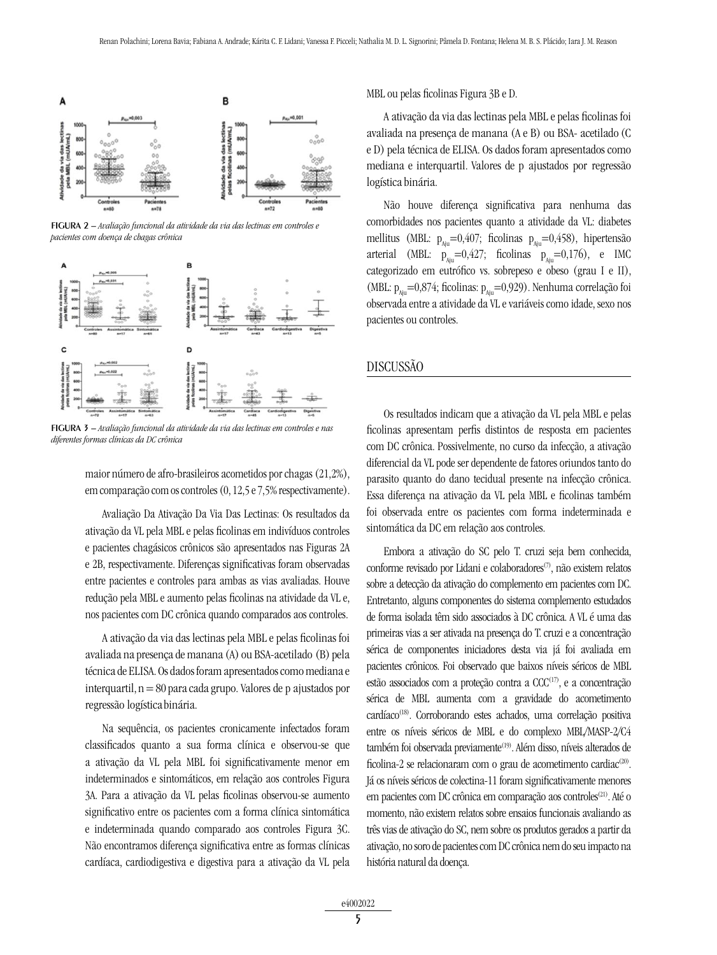

figurA 2 – *Avaliação funcional da atividade da via das lectinas em controles e pacientes com doença de chagas crônica*



figurA 3 – *Avaliação funcional da atividade da via das lectinas em controles e nas diferentes formas clínicas da DC crônica*

maior número de afro-brasileiros acometidos por chagas (21,2%), em comparação com os controles (0, 12,5 e 7,5% respectivamente).

Avaliação Da Ativação Da Via Das Lectinas: Os resultados da ativação da VL pela MBL e pelas ficolinas em indivíduos controles e pacientes chagásicos crônicos são apresentados nas Figuras 2A e 2B, respectivamente. Diferenças significativas foram observadas entre pacientes e controles para ambas as vias avaliadas. Houve redução pela MBL e aumento pelas ficolinas na atividade da VL e, nos pacientes com DC crônica quando comparados aos controles.

A ativação da via das lectinas pela MBL e pelas ficolinas foi avaliada na presença de manana (A) ou BSA-acetilado (B) pela técnica de ELISA. Os dados foram apresentados como mediana e interquartil, n = 80 para cada grupo. Valores de p ajustados por regressão logística binária.

Na sequência, os pacientes cronicamente infectados foram classificados quanto a sua forma clínica e observou-se que a ativação da VL pela MBL foi significativamente menor em indeterminados e sintomáticos, em relação aos controles Figura 3A. Para a ativação da VL pelas ficolinas observou-se aumento significativo entre os pacientes com a forma clínica sintomática e indeterminada quando comparado aos controles Figura 3C. Não encontramos diferença significativa entre as formas clínicas cardíaca, cardiodigestiva e digestiva para a ativação da VL pela MBL ou pelas ficolinas Figura 3B e D.

A ativação da via das lectinas pela MBL e pelas ficolinas foi avaliada na presença de manana (A e B) ou BSA- acetilado (C e D) pela técnica de ELISA. Os dados foram apresentados como mediana e interquartil. Valores de p ajustados por regressão logística binária.

Não houve diferença significativa para nenhuma das comorbidades nos pacientes quanto a atividade da VL: diabetes mellitus (MBL:  $p_{\text{min}}=0.407$ ; ficolinas  $p_{\text{min}}=0.458$ ), hipertensão arterial (MBL:  $p_{\text{air}}=0.427$ ; ficolinas  $p_{\text{air}}=0.176$ ), e IMC categorizado em eutrófico vs. sobrepeso e obeso (grau I e II), (MBL:  $p_{\text{A}i}$ =0,874; ficolinas:  $p_{\text{A}i}$ =0,929). Nenhuma correlação foi observada entre a atividade da VL e variáveis como idade, sexo nos pacientes ou controles.

## DISCUSSÃO

Os resultados indicam que a ativação da VL pela MBL e pelas ficolinas apresentam perfis distintos de resposta em pacientes com DC crônica. Possivelmente, no curso da infecção, a ativação diferencial da VL pode ser dependente de fatores oriundos tanto do parasito quanto do dano tecidual presente na infecção crônica. Essa diferença na ativação da VL pela MBL e ficolinas também foi observada entre os pacientes com forma indeterminada e sintomática da DC em relação aos controles.

Embora a ativação do SC pelo T. cruzi seja bem conhecida, conforme revisado por Lidani e colaboradores<sup>(7)</sup>, não existem relatos sobre a detecção da ativação do complemento em pacientes com DC. Entretanto, alguns componentes do sistema complemento estudados de forma isolada têm sido associados à DC crônica. A VL é uma das primeiras vias a ser ativada na presença do T. cruzi e a concentração sérica de componentes iniciadores desta via já foi avaliada em pacientes crônicos. Foi observado que baixos níveis séricos de MBL estão associados com a proteção contra a CCC(17), e a concentração sérica de MBL aumenta com a gravidade do acometimento cardíaco<sup>(18)</sup>. Corroborando estes achados, uma correlação positiva entre os níveis séricos de MBL e do complexo MBL/MASP-2/C4 também foi observada previamente<sup>(19)</sup>. Além disso, níveis alterados de ficolina-2 se relacionaram com o grau de acometimento cardiac<sup>(20)</sup>. Já os níveis séricos de colectina-11 foram significativamente menores em pacientes com DC crônica em comparação aos controles<sup>(21)</sup>. Até o momento, não existem relatos sobre ensaios funcionais avaliando as três vias de ativação do SC, nem sobre os produtos gerados a partir da ativação, no soro de pacientes com DC crônica nem do seu impacto na história natural da doença.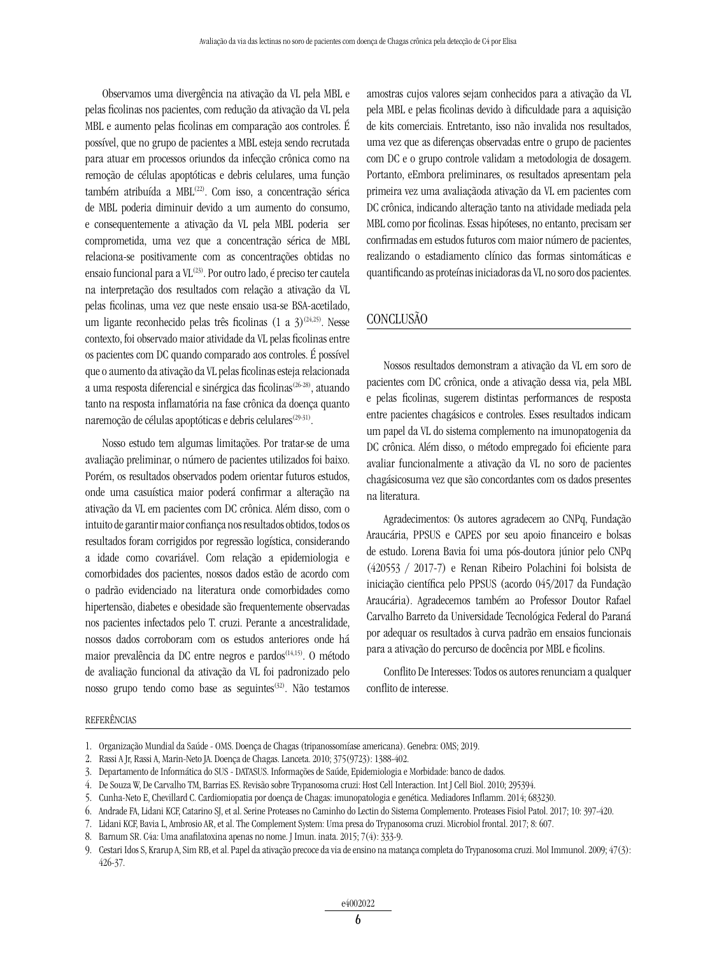Observamos uma divergência na ativação da VL pela MBL e pelas ficolinas nos pacientes, com redução da ativação da VL pela MBL e aumento pelas ficolinas em comparação aos controles. É possível, que no grupo de pacientes a MBL esteja sendo recrutada para atuar em processos oriundos da infecção crônica como na remoção de células apoptóticas e debris celulares, uma função também atribuída a MBL<sup>(22)</sup>. Com isso, a concentração sérica de MBL poderia diminuir devido a um aumento do consumo, e consequentemente a ativação da VL pela MBL poderia ser comprometida, uma vez que a concentração sérica de MBL relaciona-se positivamente com as concentrações obtidas no ensaio funcional para a  $VL^{(23)}$ . Por outro lado, é preciso ter cautela na interpretação dos resultados com relação a ativação da VL pelas ficolinas, uma vez que neste ensaio usa-se BSA-acetilado, um ligante reconhecido pelas três ficolinas (1 a  $3^{(24,25)}$ . Nesse contexto, foi observado maior atividade da VL pelas ficolinas entre os pacientes com DC quando comparado aos controles. É possível que o aumento da ativação da VL pelas ficolinas esteja relacionada a uma resposta diferencial e sinérgica das ficolinas<sup>(26-28)</sup>, atuando tanto na resposta inflamatória na fase crônica da doença quanto naremoção de células apoptóticas e debris celulares<sup>(29-31)</sup>.

Nosso estudo tem algumas limitações. Por tratar-se de uma avaliação preliminar, o número de pacientes utilizados foi baixo. Porém, os resultados observados podem orientar futuros estudos, onde uma casuística maior poderá confirmar a alteração na ativação da VL em pacientes com DC crônica. Além disso, com o intuito de garantir maior confiança nos resultados obtidos, todos os resultados foram corrigidos por regressão logística, considerando a idade como covariável. Com relação a epidemiologia e comorbidades dos pacientes, nossos dados estão de acordo com o padrão evidenciado na literatura onde comorbidades como hipertensão, diabetes e obesidade são frequentemente observadas nos pacientes infectados pelo T. cruzi. Perante a ancestralidade, nossos dados corroboram com os estudos anteriores onde há maior prevalência da DC entre negros e pardos<sup>(14,15)</sup>. O método de avaliação funcional da ativação da VL foi padronizado pelo nosso grupo tendo como base as seguintes<sup>(32)</sup>. Não testamos

amostras cujos valores sejam conhecidos para a ativação da VL pela MBL e pelas ficolinas devido à dificuldade para a aquisição de kits comerciais. Entretanto, isso não invalida nos resultados, uma vez que as diferenças observadas entre o grupo de pacientes com DC e o grupo controle validam a metodologia de dosagem. Portanto, eEmbora preliminares, os resultados apresentam pela primeira vez uma avaliaçãoda ativação da VL em pacientes com DC crônica, indicando alteração tanto na atividade mediada pela MBL como por ficolinas. Essas hipóteses, no entanto, precisam ser confirmadas em estudos futuros com maior número de pacientes, realizando o estadiamento clínico das formas sintomáticas e quantificando as proteínas iniciadoras da VL no soro dos pacientes.

#### CONCLUSÃO

Nossos resultados demonstram a ativação da VL em soro de pacientes com DC crônica, onde a ativação dessa via, pela MBL e pelas ficolinas, sugerem distintas performances de resposta entre pacientes chagásicos e controles. Esses resultados indicam um papel da VL do sistema complemento na imunopatogenia da DC crônica. Além disso, o método empregado foi eficiente para avaliar funcionalmente a ativação da VL no soro de pacientes chagásicosuma vez que são concordantes com os dados presentes na literatura.

Agradecimentos: Os autores agradecem ao CNPq, Fundação Araucária, PPSUS e CAPES por seu apoio financeiro e bolsas de estudo. Lorena Bavia foi uma pós-doutora júnior pelo CNPq (420553 / 2017-7) e Renan Ribeiro Polachini foi bolsista de iniciação científica pelo PPSUS (acordo 045/2017 da Fundação Araucária). Agradecemos também ao Professor Doutor Rafael Carvalho Barreto da Universidade Tecnológica Federal do Paraná por adequar os resultados à curva padrão em ensaios funcionais para a ativação do percurso de docência por MBL e ficolins.

Conflito De Interesses: Todos os autores renunciam a qualquer conflito de interesse.

#### REFERÊNCIAS

<sup>1.</sup> Organização Mundial da Saúde - OMS. Doença de Chagas (tripanossomíase americana). Genebra: OMS; 2019.

<sup>2.</sup> Rassi A Jr, Rassi A, Marin-Neto JA. Doença de Chagas. Lanceta. 2010; 375(9723): 1388-402.

<sup>3.</sup> Departamento de Informática do SUS - DATASUS. Informações de Saúde, Epidemiologia e Morbidade: banco de dados.

<sup>4.</sup> De Souza W, De Carvalho TM, Barrias ES. Revisão sobre Trypanosoma cruzi: Host Cell Interaction. Int J Cell Biol. 2010; 295394.

<sup>5.</sup> Cunha-Neto E, Chevillard C. Cardiomiopatia por doença de Chagas: imunopatologia e genética. Mediadores Inflamm. 2014; 683230.

<sup>6.</sup> Andrade FA, Lidani KCF, Catarino SJ, et al. Serine Proteases no Caminho do Lectin do Sistema Complemento. Proteases Fisiol Patol. 2017; 10: 397-420.

<sup>7.</sup> Lidani KCF, Bavia L, Ambrosio AR, et al. The Complement System: Uma presa do Trypanosoma cruzi. Microbiol frontal. 2017; 8: 607.

<sup>8.</sup> Barnum SR. C4a: Uma anafilatoxina apenas no nome. J Imun. inata. 2015; 7(4): 333-9.

<sup>9.</sup> Cestari Idos S, Krarup A, Sim RB, et al. Papel da ativação precoce da via de ensino na matança completa do Trypanosoma cruzi. Mol Immunol. 2009; 47(3): 426-37.